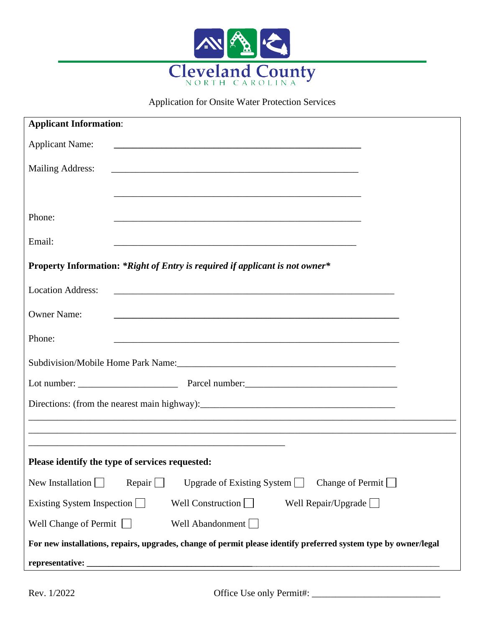

Application for Onsite Water Protection Services

| <b>Applicant Information:</b>                                                                                                               |  |  |  |  |
|---------------------------------------------------------------------------------------------------------------------------------------------|--|--|--|--|
| <b>Applicant Name:</b>                                                                                                                      |  |  |  |  |
| <b>Mailing Address:</b>                                                                                                                     |  |  |  |  |
|                                                                                                                                             |  |  |  |  |
| Phone:                                                                                                                                      |  |  |  |  |
| Email:                                                                                                                                      |  |  |  |  |
| Property Information: *Right of Entry is required if applicant is not owner*                                                                |  |  |  |  |
| <b>Location Address:</b>                                                                                                                    |  |  |  |  |
| <b>Owner Name:</b><br><u> 1989 - Jan Barnett, mars et al. 1989 - Anna anno 1989 - Anna anno 1989 - Anna ann an t-Anna ann an t-Anna ann</u> |  |  |  |  |
| Phone:                                                                                                                                      |  |  |  |  |
|                                                                                                                                             |  |  |  |  |
|                                                                                                                                             |  |  |  |  |
|                                                                                                                                             |  |  |  |  |
|                                                                                                                                             |  |  |  |  |
| and the control of the control of the control of the control of the control of the control of the control of the                            |  |  |  |  |
| Please identify the type of services requested:                                                                                             |  |  |  |  |
| New Installation $\Box$<br>Repair $\Box$<br>Change of Permit<br>Upgrade of Existing System $\Box$                                           |  |  |  |  |
| Well Construction $\Box$<br>Well Repair/Upgrade $\Box$<br>Existing System Inspection                                                        |  |  |  |  |
| Well Change of Permit $\Box$<br>Well Abandonment                                                                                            |  |  |  |  |
| For new installations, repairs, upgrades, change of permit please identify preferred system type by owner/legal                             |  |  |  |  |
| representative:                                                                                                                             |  |  |  |  |

Rev. 1/2022 Office Use only Permit#: \_\_\_\_\_\_\_\_\_\_\_\_\_\_\_\_\_\_\_\_\_\_\_\_\_\_\_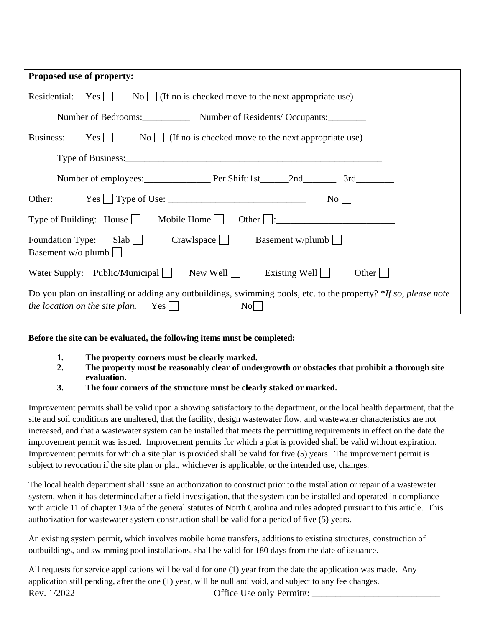| Proposed use of property:                                                                                                                                                               |
|-----------------------------------------------------------------------------------------------------------------------------------------------------------------------------------------|
| $\text{No}$   (If no is checked move to the next appropriate use)<br>Residential:<br>Yes                                                                                                |
| Number of Bedrooms: Number of Residents/Occupants:                                                                                                                                      |
| $Yes \tNo \tNo \tNo$ (If no is checked move to the next appropriate use)<br>Business:                                                                                                   |
|                                                                                                                                                                                         |
| Number of employees: Per Shift:1st 2nd 3rd                                                                                                                                              |
| Other: $Yes \cup Type of Use:$<br>$\rm{No}$                                                                                                                                             |
| Type of Building: House $\Box$ Mobile Home $\Box$<br>Other $\vert$ :                                                                                                                    |
| $C$ rawlspace $\Box$ Basement w/plumb<br>Foundation Type: Slab<br>Basement w/o plumb $\Box$                                                                                             |
| New Well<br>Water Supply: Public/Municipal $\Box$<br>Existing Well $\vert$<br>Other                                                                                                     |
| Do you plan on installing or adding any outbuildings, swimming pools, etc. to the property? *If so, please note<br><i>the location on the site plan.</i> Yes $\Box$<br>$\overline{N_0}$ |

**Before the site can be evaluated, the following items must be completed:**

- **1. The property corners must be clearly marked.**
- **2. The property must be reasonably clear of undergrowth or obstacles that prohibit a thorough site evaluation.**
- **3. The four corners of the structure must be clearly staked or marked.**

Improvement permits shall be valid upon a showing satisfactory to the department, or the local health department, that the site and soil conditions are unaltered, that the facility, design wastewater flow, and wastewater characteristics are not increased, and that a wastewater system can be installed that meets the permitting requirements in effect on the date the improvement permit was issued. Improvement permits for which a plat is provided shall be valid without expiration. Improvement permits for which a site plan is provided shall be valid for five (5) years. The improvement permit is subject to revocation if the site plan or plat, whichever is applicable, or the intended use, changes.

The local health department shall issue an authorization to construct prior to the installation or repair of a wastewater system, when it has determined after a field investigation, that the system can be installed and operated in compliance with article 11 of chapter 130a of the general statutes of North Carolina and rules adopted pursuant to this article. This authorization for wastewater system construction shall be valid for a period of five (5) years.

An existing system permit, which involves mobile home transfers, additions to existing structures, construction of outbuildings, and swimming pool installations, shall be valid for 180 days from the date of issuance.

Rev.  $1/2022$  Office Use only Permit#: All requests for service applications will be valid for one (1) year from the date the application was made. Any application still pending, after the one (1) year, will be null and void, and subject to any fee changes.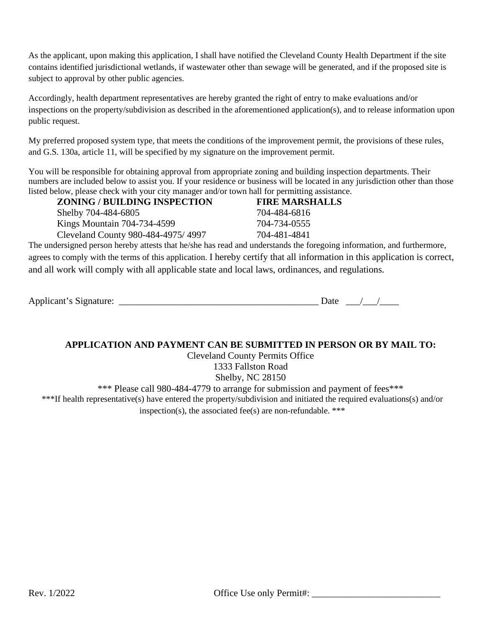As the applicant, upon making this application, I shall have notified the Cleveland County Health Department if the site contains identified jurisdictional wetlands, if wastewater other than sewage will be generated, and if the proposed site is subject to approval by other public agencies.

Accordingly, health department representatives are hereby granted the right of entry to make evaluations and/or inspections on the property/subdivision as described in the aforementioned application(s), and to release information upon public request.

My preferred proposed system type, that meets the conditions of the improvement permit, the provisions of these rules, and G.S. 130a, article 11, will be specified by my signature on the improvement permit.

You will be responsible for obtaining approval from appropriate zoning and building inspection departments. Their numbers are included below to assist you. If your residence or business will be located in any jurisdiction other than those listed below, please check with your city manager and/or town hall for permitting assistance.

| <b>ZONING / BUILDING INSPECTION</b> | <b>FIRE MARSHALLS</b> |
|-------------------------------------|-----------------------|
| Shelby 704-484-6805                 | 704-484-6816          |
| Kings Mountain 704-734-4599         | 704-734-0555          |
| Cleveland County 980-484-4975/4997  | 704-481-4841          |
|                                     |                       |

The undersigned person hereby attests that he/she has read and understands the foregoing information, and furthermore, agrees to comply with the terms of this application. I hereby certify that all information in this application is correct, and all work will comply with all applicable state and local laws, ordinances, and regulations.

| Applicant'<br>s Signature:<br>.<br>.<br>$\sim$ $-$ | $\sim$<br>. |  |  |
|----------------------------------------------------|-------------|--|--|
|----------------------------------------------------|-------------|--|--|

#### **APPLICATION AND PAYMENT CAN BE SUBMITTED IN PERSON OR BY MAIL TO:**

Cleveland County Permits Office 1333 Fallston Road

Shelby, NC 28150

\*\*\* Please call 980-484-4779 to arrange for submission and payment of fees\*\*\*

\*\*\*If health representative(s) have entered the property/subdivision and initiated the required evaluations(s) and/or inspection(s), the associated fee(s) are non-refundable. \*\*\*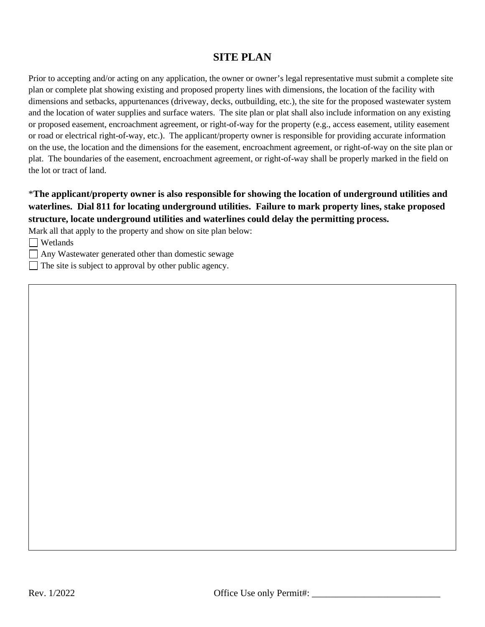## **SITE PLAN**

Prior to accepting and/or acting on any application, the owner or owner's legal representative must submit a complete site plan or complete plat showing existing and proposed property lines with dimensions, the location of the facility with dimensions and setbacks, appurtenances (driveway, decks, outbuilding, etc.), the site for the proposed wastewater system and the location of water supplies and surface waters. The site plan or plat shall also include information on any existing or proposed easement, encroachment agreement, or right-of-way for the property (e.g., access easement, utility easement or road or electrical right-of-way, etc.). The applicant/property owner is responsible for providing accurate information on the use, the location and the dimensions for the easement, encroachment agreement, or right-of-way on the site plan or plat. The boundaries of the easement, encroachment agreement, or right-of-way shall be properly marked in the field on the lot or tract of land.

### \***The applicant/property owner is also responsible for showing the location of underground utilities and waterlines. Dial 811 for locating underground utilities. Failure to mark property lines, stake proposed structure, locate underground utilities and waterlines could delay the permitting process.**

Mark all that apply to the property and show on site plan below:

Wetlands

Any Wastewater generated other than domestic sewage

 $\Box$  The site is subject to approval by other public agency.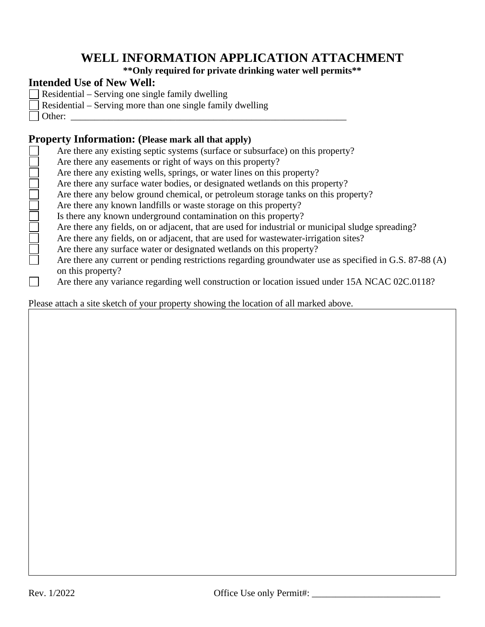# **WELL INFORMATION APPLICATION ATTACHMENT**

**\*\*Only required for private drinking water well permits\*\***

## **Intended Use of New Well:**

- Residential Serving one single family dwelling
- Residential Serving more than one single family dwelling
- $\Box$  Other:

# **Property Information: (Please mark all that apply)**

| Are there any existing septic systems (surface or subsurface) on this property?                                |
|----------------------------------------------------------------------------------------------------------------|
| Are there any easements or right of ways on this property?                                                     |
| Are there any existing wells, springs, or water lines on this property?                                        |
| Are there any surface water bodies, or designated wetlands on this property?                                   |
| Are there any below ground chemical, or petroleum storage tanks on this property?                              |
| Are there any known landfills or waste storage on this property?                                               |
| Is there any known underground contamination on this property?                                                 |
| Are there any fields, on or adjacent, that are used for industrial or municipal sludge spreading?              |
| Are there any fields, on or adjacent, that are used for was tewater-irrigation sites?                          |
| Are there any surface water or designated wetlands on this property?                                           |
| Are there any current or pending restrictions regarding groundwater use as specified in G.S. 87-88 (A)         |
| on this property?                                                                                              |
| $\Delta$ re there any variance regarding well construction or location issued under 15 $\Delta$ NCAC 02C 01182 |

Are there any variance regarding well construction or location issued under 15A NCAC 02C.0118?  $\Box$ 

Please attach a site sketch of your property showing the location of all marked above.